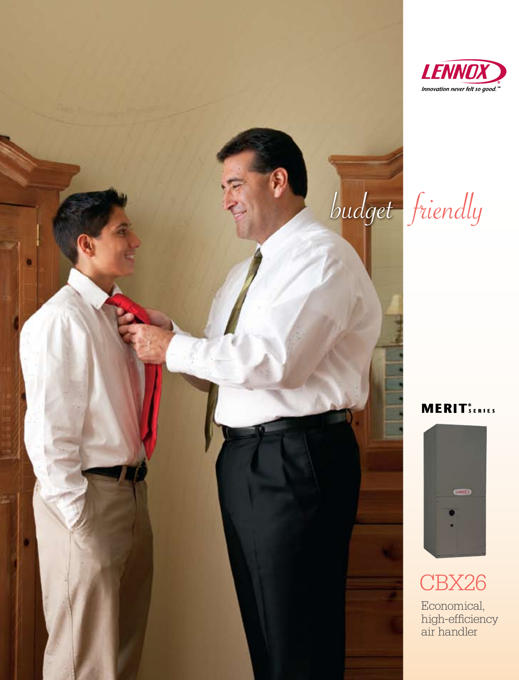

budget friendly

**MERIT**SERIES



# CBX26

Economical, high-efficiency air handler